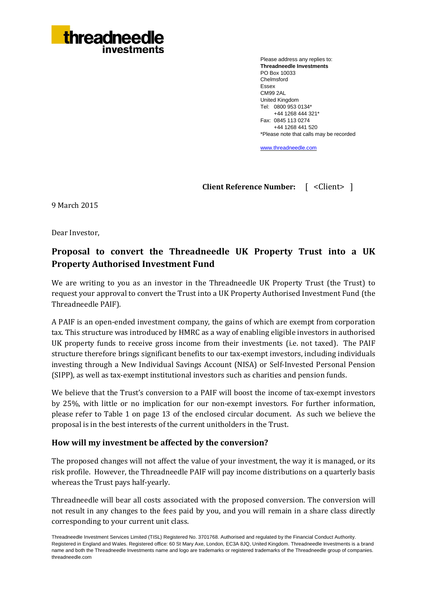

Please address any replies to: **Threadneedle Investments** PO Box 10033 Chelmsford Essex CM99 2AL United Kingdom Tel: 0800 953 0134\* +44 1268 444 321\* Fax: 0845 113 0274 +44 1268 441 520 \*Please note that calls may be recorded

[www.threadneedle.com](http://www.threadneedle.com/)

**Client Reference Number:** [ <Client> ]

9 March 2015

Dear Investor,

# **Proposal to convert the Threadneedle UK Property Trust into a UK Property Authorised Investment Fund**

We are writing to you as an investor in the Threadneedle UK Property Trust (the Trust) to request your approval to convert the Trust into a UK Property Authorised Investment Fund (the Threadneedle PAIF).

A PAIF is an open-ended investment company, the gains of which are exempt from corporation tax. This structure was introduced by HMRC as a way of enabling eligible investors in authorised UK property funds to receive gross income from their investments (i.e. not taxed). The PAIF structure therefore brings significant benefits to our tax-exempt investors, including individuals investing through a New Individual Savings Account (NISA) or Self-Invested Personal Pension (SIPP), as well as tax-exempt institutional investors such as charities and pension funds.

We believe that the Trust's conversion to a PAIF will boost the income of tax-exempt investors by 25%, with little or no implication for our non-exempt investors. For further information, please refer to Table 1 on page 13 of the enclosed circular document. As such we believe the proposal is in the best interests of the current unitholders in the Trust.

# **How will my investment be affected by the conversion?**

The proposed changes will not affect the value of your investment, the way it is managed, or its risk profile. However, the Threadneedle PAIF will pay income distributions on a quarterly basis whereas the Trust pays half-yearly.

Threadneedle will bear all costs associated with the proposed conversion. The conversion will not result in any changes to the fees paid by you, and you will remain in a share class directly corresponding to your current unit class.

Threadneedle Investment Services Limited (TISL) Registered No. 3701768. Authorised and regulated by the Financial Conduct Authority. Registered in England and Wales. Registered office: 60 St Mary Axe, London, EC3A 8JQ, United Kingdom. Threadneedle Investments is a brand name and both the Threadneedle Investments name and logo are trademarks or registered trademarks of the Threadneedle group of companies. threadneedle.com